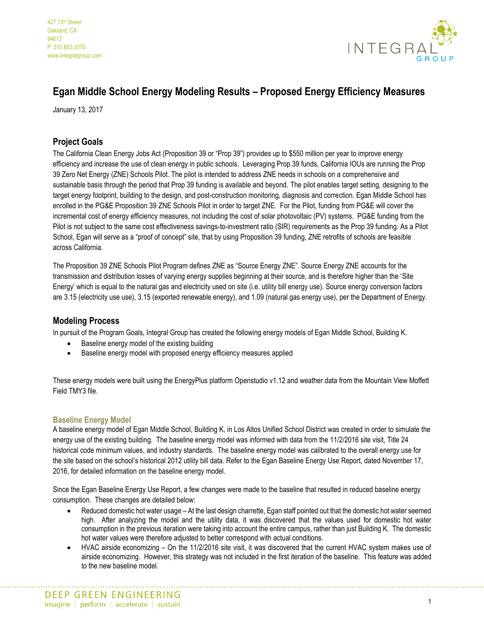

# **Egan Middle School Energy Modeling Results – Proposed Energy Efficiency Measures**

January 13, 2017

# **Project Goals**

The California Clean Energy Jobs Act (Proposition 39 or "Prop 39") provides up to \$550 million per year to improve energy efficiency and increase the use of clean energy in public schools. Leveraging Prop 39 funds, California IOUs are running the Prop 39 Zero Net Energy (ZNE) Schools Pilot. The pilot is intended to address ZNE needs in schools on a comprehensive and sustainable basis through the period that Prop 39 funding is available and beyond. The pilot enables target setting, designing to the target energy footprint, building to the design, and post-construction monitoring, diagnosis and correction. Egan Middle School has enrolled in the PG&E Proposition 39 ZNE Schools Pilot in order to target ZNE. For the Pilot, funding from PG&E will cover the incremental cost of energy efficiency measures, not including the cost of solar photovoltaic (PV) systems. PG&E funding from the Pilot is not subject to the same cost effectiveness savings-to-investment ratio (SIR) requirements as the Prop 39 funding. As a Pilot School, Egan will serve as a "proof of concept" site, that by using Proposition 39 funding, ZNE retrofits of schools are feasible across California.

The Proposition 39 ZNE Schools Pilot Program defines ZNE as "Source Energy ZNE". Source Energy ZNE accounts for the transmission and distribution losses of varying energy supplies beginning at their source, and is therefore higher than the 'Site Energy' which is equal to the natural gas and electricity used on site (i.e. utility bill energy use). Source energy conversion factors are 3.15 (electricity use use), 3.15 (exported renewable energy), and 1.09 (natural gas energy use), per the Department of Energy.

## **Modeling Process**

In pursuit of the Program Goals, Integral Group has created the following energy models of Egan Middle School, Building K.

- Baseline energy model of the existing building
- Baseline energy model with proposed energy efficiency measures applied

These energy models were built using the EnergyPlus platform Openstudio v1.12 and weather data from the Mountain View Moffett Field TMY3 file.

#### **Baseline Energy Model**

A baseline energy model of Egan Middle School, Building K, in Los Altos Unified School District was created in order to simulate the energy use of the existing building. The baseline energy model was informed with data from the 11/2/2016 site visit, Title 24 historical code minimum values, and industry standards. The baseline energy model was calibrated to the overall energy use for the site based on the school's historical 2012 utility bill data. Refer to the Egan Baseline Energy Use Report, dated November 17, 2016, for detailed information on the baseline energy model.

Since the Egan Baseline Energy Use Report, a few changes were made to the baseline that resulted in reduced baseline energy consumption. These changes are detailed below:

- Reduced domestic hot water usage At the last design charrette, Egan staff pointed out that the domestic hot water seemed high. After analyzing the model and the utility data, it was discovered that the values used for domestic hot water consumption in the previous iteration were taking into account the entire campus, rather than just Building K. The domestic hot water values were therefore adjusted to better correspond with actual conditions.
- HVAC airside economizing On the 11/2/2016 site visit, it was discovered that the current HVAC system makes use of airside economizing. However, this strategy was not included in the first iteration of the baseline. This feature was added to the new baseline model.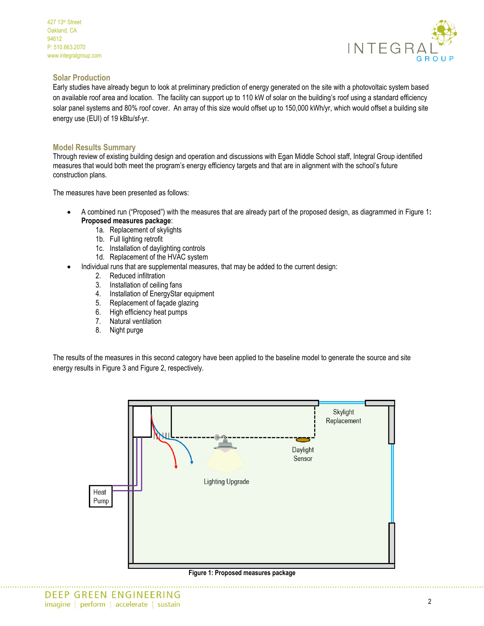

### **Solar Production**

Early studies have already begun to look at preliminary prediction of energy generated on the site with a photovoltaic system based on available roof area and location. The facility can support up to 110 kW of solar on the building's roof using a standard efficiency solar panel systems and 80% roof cover. An array of this size would offset up to 150,000 kWh/yr, which would offset a building site energy use (EUI) of 19 kBtu/sf-yr.

### **Model Results Summary**

Through review of existing building design and operation and discussions with Egan Middle School staff, Integral Group identified measures that would both meet the program's energy efficiency targets and that are in alignment with the school's future construction plans.

The measures have been presented as follows:

- x A combined run ("Proposed") with the measures that are already part of the proposed design, as diagrammed in [Figure 1](#page-1-0)**: [Proposed measures package](#page-1-0)**:
	- 1a. Replacement of skylights
	- 1b. Full lighting retrofit
	- 1c. Installation of daylighting controls
	- 1d. Replacement of the HVAC system
- Individual runs that are supplemental measures, that may be added to the current design:
	- 2. Reduced infiltration
	- 3. Installation of ceiling fans
	- 4. Installation of EnergyStar equipment
	- 5. Replacement of façade glazing
	- 6. High efficiency heat pumps
	- 7. Natural ventilation
	- 8. Night purge

The results of the measures in this second category have been applied to the baseline model to generate the source and site energy results i[n Figure 3](#page-2-0) an[d Figure 2,](#page-2-1) respectively.

<span id="page-1-0"></span>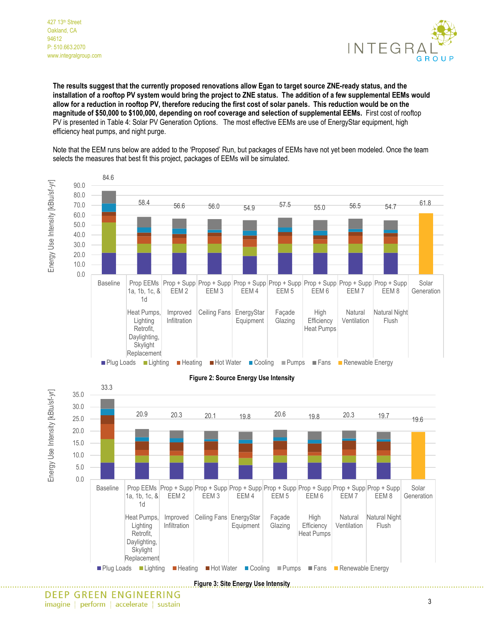

**The results suggest that the currently proposed renovations allow Egan to target source ZNE-ready status, and the installation of a rooftop PV system would bring the project to ZNE status. The addition of a few supplemental EEMs would allow for a reduction in rooftop PV, therefore reducing the first cost of solar panels. This reduction would be on the magnitude of \$50,000 to \$100,000, depending on roof coverage and selection of supplemental EEMs.** First cost of rooftop PV is presented in [Table 4: Solar PV Generation Options.](#page-6-0) The most effective EEMs are use of EnergyStar equipment, high efficiency heat pumps, and night purge.

Note that the EEM runs below are added to the 'Proposed' Run, but packages of EEMs have not yet been modeled. Once the team selects the measures that best fit this project, packages of EEMs will be simulated.

<span id="page-2-1"></span>

<span id="page-2-0"></span>DEEP GREEN ENGINEERING imagine | perform | accelerate | sustain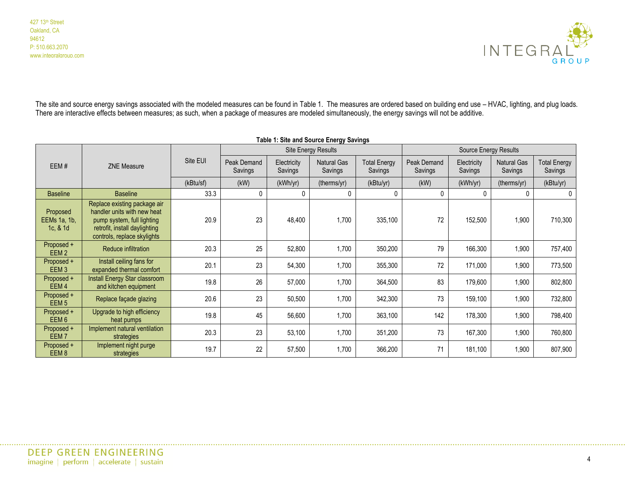

The site and source energy savings associated with the modeled measures can be found in [Table 1.](#page-3-0) The measures are ordered based on building end use – HVAC, lighting, and plug loads. There are interactive effects between measures; as such, when a package of measures are modeled simultaneously, the energy savings will not be additive.

<span id="page-3-0"></span>

| Table 1: Site and Source Energy Savings |                                                                                                                                                           |           |                            |                        |                               |                                |                        |                        |                               |                                |
|-----------------------------------------|-----------------------------------------------------------------------------------------------------------------------------------------------------------|-----------|----------------------------|------------------------|-------------------------------|--------------------------------|------------------------|------------------------|-------------------------------|--------------------------------|
|                                         |                                                                                                                                                           |           | <b>Site Energy Results</b> |                        |                               | Source Energy Results          |                        |                        |                               |                                |
| EEM#                                    | <b>ZNE Measure</b>                                                                                                                                        | Site EUI  | Peak Demand<br>Savings     | Electricity<br>Savings | <b>Natural Gas</b><br>Savings | <b>Total Energy</b><br>Savings | Peak Demand<br>Savings | Electricity<br>Savings | <b>Natural Gas</b><br>Savings | <b>Total Energy</b><br>Savings |
|                                         |                                                                                                                                                           | (kBtu/sf) | (kW)                       | (kWh/yr)               | (therms/yr)                   | (kBtu/yr)                      | (kW)                   | (kWh/yr)               | (therms/yr)                   | (kBtu/yr)                      |
| <b>Baseline</b>                         | <b>Baseline</b>                                                                                                                                           | 33.3      | 0                          | 0                      | 0                             | $\Omega$                       | 0                      | 0                      |                               | $\mathbf 0$                    |
| Proposed<br>EEMs 1a, 1b,<br>1c, $& 1d$  | Replace existing package air<br>handler units with new heat<br>pump system, full lighting<br>retrofit, install daylighting<br>controls, replace skylights | 20.9      | 23                         | 48,400                 | 1,700                         | 335,100                        | 72                     | 152,500                | 1,900                         | 710,300                        |
| Proposed +<br>EEM <sub>2</sub>          | Reduce infiltration                                                                                                                                       | 20.3      | 25                         | 52,800                 | 1,700                         | 350,200                        | 79                     | 166,300                | 1,900                         | 757,400                        |
| Proposed +<br>EEM <sub>3</sub>          | Install ceiling fans for<br>expanded thermal comfort                                                                                                      | 20.1      | 23                         | 54,300                 | 1,700                         | 355,300                        | 72                     | 171,000                | 1,900                         | 773,500                        |
| Proposed +<br>EEM <sub>4</sub>          | Install Energy Star classroom<br>and kitchen equipment                                                                                                    | 19.8      | 26                         | 57,000                 | 1,700                         | 364,500                        | 83                     | 179,600                | 1,900                         | 802,800                        |
| Proposed +<br>EEM <sub>5</sub>          | Replace façade glazing                                                                                                                                    | 20.6      | 23                         | 50,500                 | 1,700                         | 342,300                        | 73                     | 159,100                | 1,900                         | 732,800                        |
| Proposed +<br>EEM <sub>6</sub>          | Upgrade to high efficiency<br>heat pumps                                                                                                                  | 19.8      | 45                         | 56,600                 | 1,700                         | 363,100                        | 142                    | 178,300                | 1,900                         | 798,400                        |
| Proposed +<br>EEM <sub>7</sub>          | Implement natural ventilation<br>strategies                                                                                                               | 20.3      | 23                         | 53,100                 | 1,700                         | 351,200                        | 73                     | 167,300                | 1,900                         | 760,800                        |
| Proposed +<br>EEM <sub>8</sub>          | Implement night purge<br>strategies                                                                                                                       | 19.7      | 22                         | 57,500                 | 1,700                         | 366,200                        | 71                     | 181,100                | 1,900                         | 807,900                        |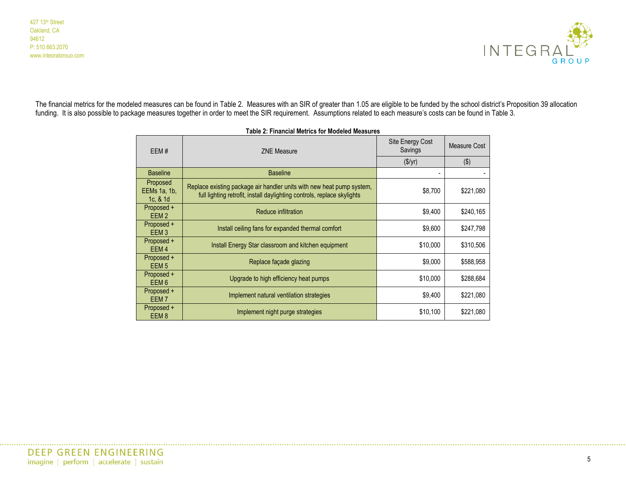

<span id="page-4-0"></span>The financial metrics for the modeled measures can be found in [Table 2](#page-4-0). Measures with an SIR of greater than 1.05 are eligible to be funded by the school district's Proposition 39 allocation funding. It is also possible to package measures together in order to meet the SIR requirement. Assumptions related to each measure's costs can be found in [Table 3.](#page-5-0)

| EEM#                                  | <b>ZNE Measure</b>                                                                                                                               | Site Energy Cost<br>Savings | Measure Cost |
|---------------------------------------|--------------------------------------------------------------------------------------------------------------------------------------------------|-----------------------------|--------------|
|                                       |                                                                                                                                                  | $(\frac{\sqrt{5}}{y})$      | (3)          |
| <b>Baseline</b>                       | <b>Baseline</b>                                                                                                                                  |                             |              |
| Proposed<br>EEMs 1a, 1b,<br>1c, 8, 1d | Replace existing package air handler units with new heat pump system,<br>full lighting retrofit, install daylighting controls, replace skylights | \$8,700                     | \$221,080    |
| Proposed +<br>EEM <sub>2</sub>        | Reduce infiltration                                                                                                                              | \$9,400                     | \$240,165    |
| Proposed +<br>EEM <sub>3</sub>        | Install ceiling fans for expanded thermal comfort                                                                                                | \$9,600                     | \$247,798    |
| Proposed +<br>EEM <sub>4</sub>        | Install Energy Star classroom and kitchen equipment                                                                                              | \$10,000                    | \$310,506    |
| Proposed +<br>EEM <sub>5</sub>        | Replace façade glazing                                                                                                                           | \$9,000                     | \$588,958    |
| Proposed +<br>EEM <sub>6</sub>        | Upgrade to high efficiency heat pumps                                                                                                            | \$10,000                    | \$288,684    |
| Proposed +<br>EEM <sub>7</sub>        | Implement natural ventilation strategies                                                                                                         | \$9,400                     | \$221,080    |
| Proposed +<br>EEM <sub>8</sub>        | Implement night purge strategies                                                                                                                 | \$10,100                    | \$221,080    |

**Table 2: Financial Metrics for Modeled Measures**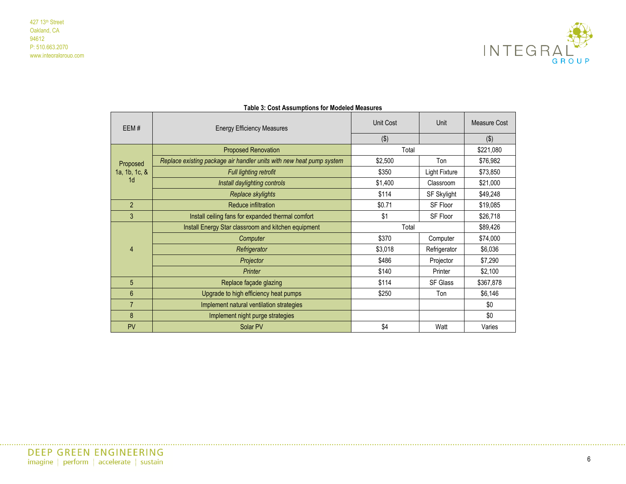

<span id="page-5-0"></span>

| EEM#           | <b>Energy Efficiency Measures</b>                                    | Unit Cost | Unit            | Measure Cost |
|----------------|----------------------------------------------------------------------|-----------|-----------------|--------------|
|                |                                                                      | (3)       |                 | ( \$ )       |
|                | <b>Proposed Renovation</b>                                           | Total     |                 |              |
| Proposed       | Replace existing package air handler units with new heat pump system | \$2,500   | Ton             | \$76,982     |
| 1a, 1b, 1c, &  | Full lighting retrofit                                               | \$350     | Light Fixture   | \$73,850     |
| 1 <sub>d</sub> | Install daylighting controls                                         | \$1,400   | Classroom       | \$21,000     |
|                | Replace skylights                                                    | \$114     | SF Skylight     | \$49,248     |
| $\overline{2}$ | Reduce infiltration                                                  | \$0.71    | SF Floor        | \$19,085     |
| 3              | Install ceiling fans for expanded thermal comfort                    | \$1       | SF Floor        | \$26,718     |
|                | Install Energy Star classroom and kitchen equipment                  | Total     |                 | \$89,426     |
|                | Computer                                                             | \$370     | Computer        | \$74,000     |
| $\overline{4}$ | Refrigerator                                                         | \$3,018   | Refrigerator    | \$6,036      |
|                | Projector                                                            | \$486     | Projector       | \$7,290      |
|                | Printer                                                              | \$140     | Printer         | \$2,100      |
| 5              | Replace façade glazing                                               | \$114     | <b>SF Glass</b> | \$367,878    |
| 6              | Upgrade to high efficiency heat pumps                                | \$250     | Ton             | \$6,146      |
| $\overline{7}$ | Implement natural ventilation strategies                             |           |                 | \$0          |
| 8              | Implement night purge strategies                                     |           |                 | \$0          |
| <b>PV</b>      | Solar PV                                                             | \$4       | Watt            | Varies       |

#### **Table 3: Cost Assumptions for Modeled Measures**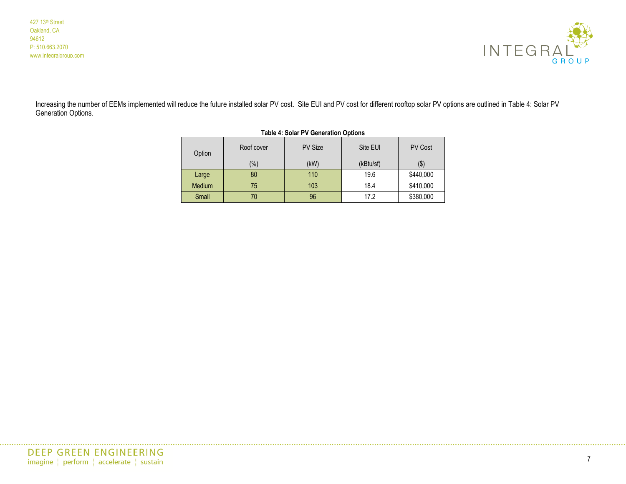

<span id="page-6-1"></span><span id="page-6-0"></span>Increasing the number of EEMs implemented will reduce the future installed solar PV cost. Site EUI and PV cost for different rooftop solar PV options are outlined in [Table 4: Solar PV](#page-6-1)  [Generation Options.](#page-6-1)

| Table 4. Solar FV Generation Options |            |                |           |                |  |
|--------------------------------------|------------|----------------|-----------|----------------|--|
| Option                               | Roof cover | <b>PV Size</b> | Site EUI  | <b>PV Cost</b> |  |
|                                      | $(\% )$    | (kW)           | (kBtu/sf) | $(\$)$         |  |
| Large                                | 80         | 110            | 19.6      | \$440,000      |  |
| Medium                               | 75         | 103            | 18.4      | \$410,000      |  |
| Small                                |            | 96             | 17.2      | \$380,000      |  |

| Table 4: Solar PV Generation Options |  |  |
|--------------------------------------|--|--|
|--------------------------------------|--|--|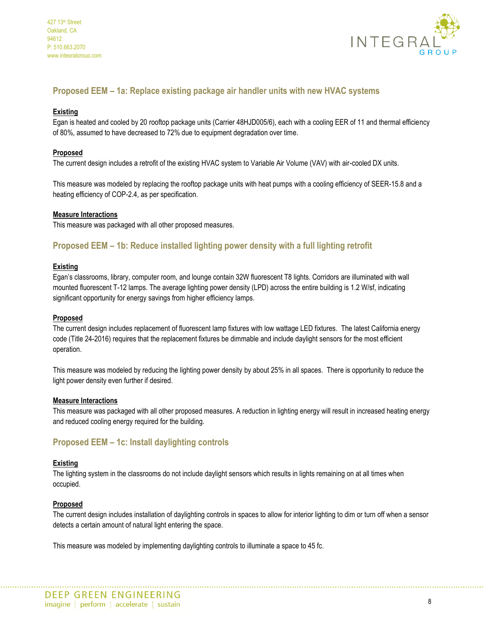

# **Proposed EEM – 1a: Replace existing package air handler units with new HVAC systems**

#### **Existing**

Egan is heated and cooled by 20 rooftop package units (Carrier 48HJD005/6), each with a cooling EER of 11 and thermal efficiency of 80%, assumed to have decreased to 72% due to equipment degradation over time.

#### **Proposed**

The current design includes a retrofit of the existing HVAC system to Variable Air Volume (VAV) with air-cooled DX units.

This measure was modeled by replacing the rooftop package units with heat pumps with a cooling efficiency of SEER-15.8 and a heating efficiency of COP-2.4, as per specification.

#### **Measure Interactions**

This measure was packaged with all other proposed measures.

# **Proposed EEM – 1b: Reduce installed lighting power density with a full lighting retrofit**

#### **Existing**

Egan's classrooms, library, computer room, and lounge contain 32W fluorescent T8 lights. Corridors are illuminated with wall mounted fluorescent T-12 lamps. The average lighting power density (LPD) across the entire building is 1.2 W/sf, indicating significant opportunity for energy savings from higher efficiency lamps.

#### **Proposed**

The current design includes replacement of fluorescent lamp fixtures with low wattage LED fixtures. The latest California energy code (Title 24-2016) requires that the replacement fixtures be dimmable and include daylight sensors for the most efficient operation.

This measure was modeled by reducing the lighting power density by about 25% in all spaces. There is opportunity to reduce the light power density even further if desired.

#### **Measure Interactions**

This measure was packaged with all other proposed measures. A reduction in lighting energy will result in increased heating energy and reduced cooling energy required for the building.

## **Proposed EEM – 1c: Install daylighting controls**

#### **Existing**

The lighting system in the classrooms do not include daylight sensors which results in lights remaining on at all times when occupied.

#### **Proposed**

The current design includes installation of daylighting controls in spaces to allow for interior lighting to dim or turn off when a sensor detects a certain amount of natural light entering the space.

This measure was modeled by implementing daylighting controls to illuminate a space to 45 fc.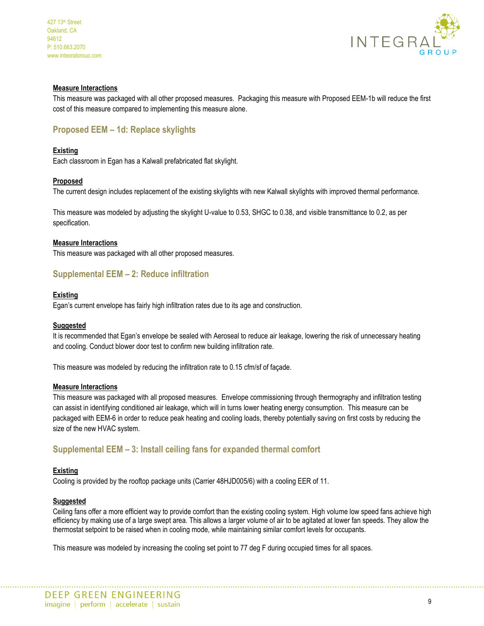

#### **Measure Interactions**

This measure was packaged with all other proposed measures. Packaging this measure with Proposed EEM-1b will reduce the first cost of this measure compared to implementing this measure alone.

# **Proposed EEM – 1d: Replace skylights**

#### **Existing**

Each classroom in Egan has a Kalwall prefabricated flat skylight.

#### **Proposed**

The current design includes replacement of the existing skylights with new Kalwall skylights with improved thermal performance.

This measure was modeled by adjusting the skylight U-value to 0.53, SHGC to 0.38, and visible transmittance to 0.2, as per specification.

#### **Measure Interactions**

This measure was packaged with all other proposed measures.

# **Supplemental EEM – 2: Reduce infiltration**

#### **Existing**

Egan's current envelope has fairly high infiltration rates due to its age and construction.

#### **Suggested**

It is recommended that Egan's envelope be sealed with Aeroseal to reduce air leakage, lowering the risk of unnecessary heating and cooling. Conduct blower door test to confirm new building infiltration rate.

This measure was modeled by reducing the infiltration rate to 0.15 cfm/sf of façade.

#### **Measure Interactions**

This measure was packaged with all proposed measures. Envelope commissioning through thermography and infiltration testing can assist in identifying conditioned air leakage, which will in turns lower heating energy consumption. This measure can be packaged with EEM-6 in order to reduce peak heating and cooling loads, thereby potentially saving on first costs by reducing the size of the new HVAC system.

## **Supplemental EEM – 3: Install ceiling fans for expanded thermal comfort**

#### **Existing**

Cooling is provided by the rooftop package units (Carrier 48HJD005/6) with a cooling EER of 11.

#### **Suggested**

Ceiling fans offer a more efficient way to provide comfort than the existing cooling system. High volume low speed fans achieve high efficiency by making use of a large swept area. This allows a larger volume of air to be agitated at lower fan speeds. They allow the thermostat setpoint to be raised when in cooling mode, while maintaining similar comfort levels for occupants.

This measure was modeled by increasing the cooling set point to 77 deg F during occupied times for all spaces.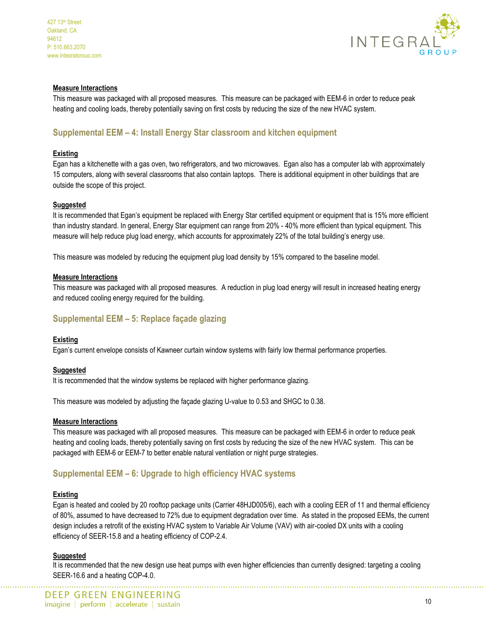

#### **Measure Interactions**

This measure was packaged with all proposed measures. This measure can be packaged with EEM-6 in order to reduce peak heating and cooling loads, thereby potentially saving on first costs by reducing the size of the new HVAC system.

# **Supplemental EEM – 4: Install Energy Star classroom and kitchen equipment**

#### **Existing**

Egan has a kitchenette with a gas oven, two refrigerators, and two microwaves. Egan also has a computer lab with approximately 15 computers, along with several classrooms that also contain laptops. There is additional equipment in other buildings that are outside the scope of this project.

#### **Suggested**

It is recommended that Egan's equipment be replaced with Energy Star certified equipment or equipment that is 15% more efficient than industry standard. In general, Energy Star equipment can range from 20% - 40% more efficient than typical equipment. This measure will help reduce plug load energy, which accounts for approximately 22% of the total building's energy use.

This measure was modeled by reducing the equipment plug load density by 15% compared to the baseline model.

#### **Measure Interactions**

This measure was packaged with all proposed measures. A reduction in plug load energy will result in increased heating energy and reduced cooling energy required for the building.

## **Supplemental EEM – 5: Replace façade glazing**

#### **Existing**

Egan's current envelope consists of Kawneer curtain window systems with fairly low thermal performance properties.

#### **Suggested**

It is recommended that the window systems be replaced with higher performance glazing.

This measure was modeled by adjusting the façade glazing U-value to 0.53 and SHGC to 0.38.

#### **Measure Interactions**

This measure was packaged with all proposed measures. This measure can be packaged with EEM-6 in order to reduce peak heating and cooling loads, thereby potentially saving on first costs by reducing the size of the new HVAC system. This can be packaged with EEM-6 or EEM-7 to better enable natural ventilation or night purge strategies.

## **Supplemental EEM – 6: Upgrade to high efficiency HVAC systems**

#### **Existing**

Egan is heated and cooled by 20 rooftop package units (Carrier 48HJD005/6), each with a cooling EER of 11 and thermal efficiency of 80%, assumed to have decreased to 72% due to equipment degradation over time. As stated in the proposed EEMs, the current design includes a retrofit of the existing HVAC system to Variable Air Volume (VAV) with air-cooled DX units with a cooling efficiency of SEER-15.8 and a heating efficiency of COP-2.4.

#### **Suggested**

It is recommended that the new design use heat pumps with even higher efficiencies than currently designed: targeting a cooling SEER-16.6 and a heating COP-4.0.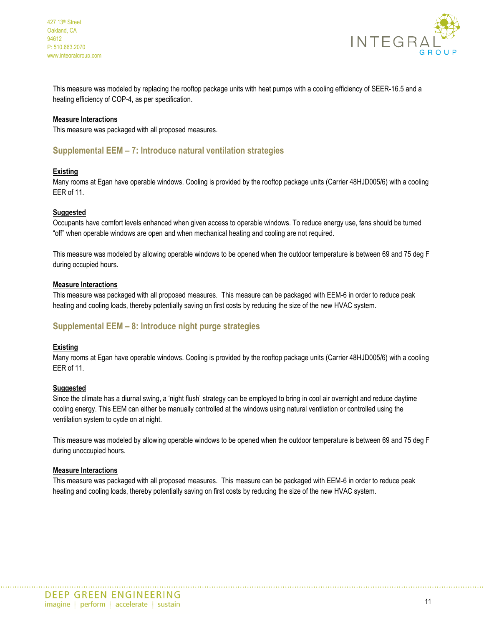



This measure was modeled by replacing the rooftop package units with heat pumps with a cooling efficiency of SEER-16.5 and a heating efficiency of COP-4, as per specification.

#### **Measure Interactions**

This measure was packaged with all proposed measures.

## **Supplemental EEM – 7: Introduce natural ventilation strategies**

#### **Existing**

Many rooms at Egan have operable windows. Cooling is provided by the rooftop package units (Carrier 48HJD005/6) with a cooling EER of 11.

#### **Suggested**

Occupants have comfort levels enhanced when given access to operable windows. To reduce energy use, fans should be turned "off" when operable windows are open and when mechanical heating and cooling are not required.

This measure was modeled by allowing operable windows to be opened when the outdoor temperature is between 69 and 75 deg F during occupied hours.

#### **Measure Interactions**

This measure was packaged with all proposed measures. This measure can be packaged with EEM-6 in order to reduce peak heating and cooling loads, thereby potentially saving on first costs by reducing the size of the new HVAC system.

## **Supplemental EEM – 8: Introduce night purge strategies**

#### **Existing**

Many rooms at Egan have operable windows. Cooling is provided by the rooftop package units (Carrier 48HJD005/6) with a cooling EER of 11.

#### **Suggested**

Since the climate has a diurnal swing, a 'night flush' strategy can be employed to bring in cool air overnight and reduce daytime cooling energy. This EEM can either be manually controlled at the windows using natural ventilation or controlled using the ventilation system to cycle on at night.

This measure was modeled by allowing operable windows to be opened when the outdoor temperature is between 69 and 75 deg F during unoccupied hours.

#### **Measure Interactions**

This measure was packaged with all proposed measures. This measure can be packaged with EEM-6 in order to reduce peak heating and cooling loads, thereby potentially saving on first costs by reducing the size of the new HVAC system.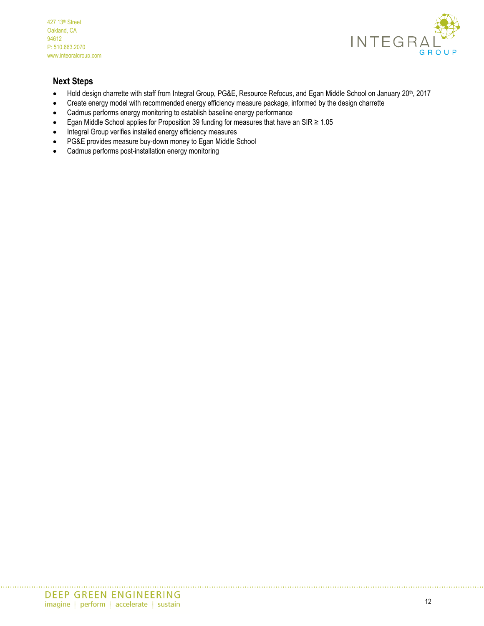

# **Next Steps**

- Hold design charrette with staff from Integral Group, PG&E, Resource Refocus, and Egan Middle School on January 20<sup>th</sup>, 2017
- Create energy model with recommended energy efficiency measure package, informed by the design charrette
- Cadmus performs energy monitoring to establish baseline energy performance
- Egan Middle School applies for Proposition 39 funding for measures that have an SIR  $\geq 1.05$
- Integral Group verifies installed energy efficiency measures
- PG&E provides measure buy-down money to Egan Middle School
- Cadmus performs post-installation energy monitoring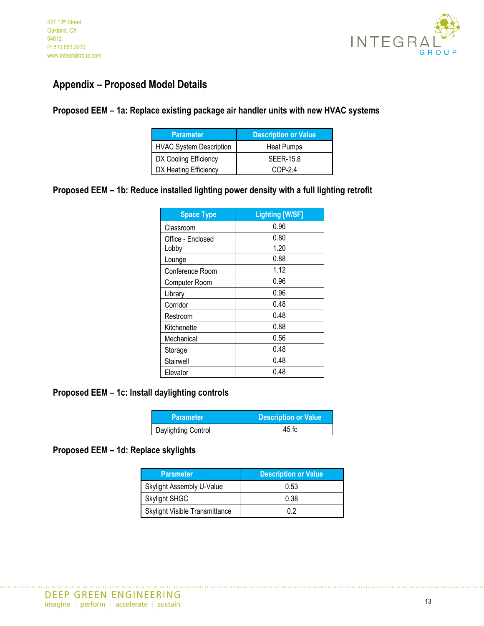

# **Appendix – Proposed Model Details**

# **Proposed EEM – 1a: Replace existing package air handler units with new HVAC systems**

| <b>Parameter</b>               | <b>Description or Value</b> |
|--------------------------------|-----------------------------|
| <b>HVAC System Description</b> | Heat Pumps                  |
| DX Cooling Efficiency          | <b>SEER-15.8</b>            |
| DX Heating Efficiency          | $COP-2.4$                   |

# **Proposed EEM – 1b: Reduce installed lighting power density with a full lighting retrofit**

| <b>Space Type</b> | <b>Lighting [W/SF]</b> |
|-------------------|------------------------|
| Classroom         | 0.96                   |
| Office - Enclosed | 0.80                   |
| Lobby             | 1.20                   |
| Lounge            | 0.88                   |
| Conference Room   | 1.12                   |
| Computer Room     | 0.96                   |
| Library           | 0.96                   |
| Corridor          | 0.48                   |
| Restroom          | 0.48                   |
| Kitchenette       | 0.88                   |
| Mechanical        | 0.56                   |
| Storage           | 0.48                   |
| Stairwell         | 0.48                   |
| Elevator          | 0.48                   |

# **Proposed EEM – 1c: Install daylighting controls**

| <b>Parameter</b>    | <b>Description or Value</b> |
|---------------------|-----------------------------|
| Daylighting Control | 45 fc                       |

# **Proposed EEM – 1d: Replace skylights**

| <b>Parameter</b>                      | <b>Description or Value</b> |
|---------------------------------------|-----------------------------|
| Skylight Assembly U-Value             | 0.53                        |
| <b>Skylight SHGC</b>                  | 0.38                        |
| <b>Skylight Visible Transmittance</b> | በ 2                         |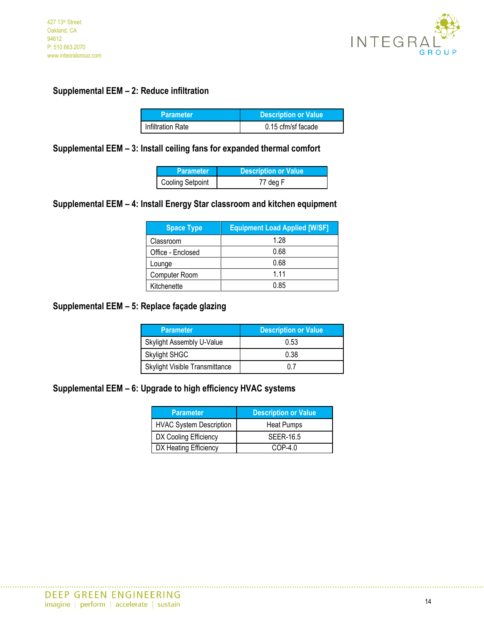

# **Supplemental EEM – 2: Reduce infiltration**

| <b>Parameter</b>  | <b>Description or Value</b> |  |  |
|-------------------|-----------------------------|--|--|
| Infiltration Rate | 0.15 cfm/sf facade          |  |  |

**Supplemental EEM – 3: Install ceiling fans for expanded thermal comfort**

| <b>Parameter</b>        | Description or Value |
|-------------------------|----------------------|
| <b>Cooling Setpoint</b> | 77 deg F             |

# **Supplemental EEM – 4: Install Energy Star classroom and kitchen equipment**

| <b>Space Type</b> | <b>Equipment Load Applied [W/SF]</b> |
|-------------------|--------------------------------------|
| Classroom         | 1.28                                 |
| Office - Enclosed | 0.68                                 |
| Lounge            | 0.68                                 |
| Computer Room     | 1.11                                 |
| Kitchenette       | 0.85                                 |

# **Supplemental EEM – 5: Replace façade glazing**

| <b>Parameter</b>                      | <b>Description or Value</b> |
|---------------------------------------|-----------------------------|
| Skylight Assembly U-Value             | 0.53                        |
| <b>Skylight SHGC</b>                  | 0.38                        |
| <b>Skylight Visible Transmittance</b> |                             |

# **Supplemental EEM – 6: Upgrade to high efficiency HVAC systems**

| <b>Parameter</b>               | <b>Description or Value</b> |
|--------------------------------|-----------------------------|
| <b>HVAC System Description</b> | Heat Pumps                  |
| DX Cooling Efficiency          | SEER-16.5                   |
| DX Heating Efficiency          | $COP-40$                    |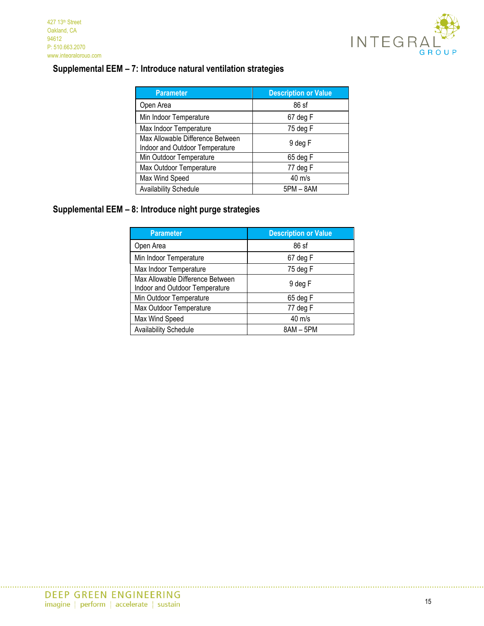

# **Supplemental EEM – 7: Introduce natural ventilation strategies**

| <b>Parameter</b>                                                   | <b>Description or Value</b> |
|--------------------------------------------------------------------|-----------------------------|
| Open Area                                                          | $86$ sf                     |
| Min Indoor Temperature                                             | 67 deg F                    |
| Max Indoor Temperature                                             | 75 deg F                    |
| Max Allowable Difference Between<br>Indoor and Outdoor Temperature | 9 deg F                     |
| Min Outdoor Temperature                                            | 65 deg F                    |
| Max Outdoor Temperature                                            | 77 deg F                    |
| Max Wind Speed                                                     | 40 m/s                      |
| <b>Availability Schedule</b>                                       | 5PM - 8AM                   |

# **Supplemental EEM – 8: Introduce night purge strategies**

| <b>Parameter</b>                                                   | <b>Description or Value</b> |
|--------------------------------------------------------------------|-----------------------------|
| Open Area                                                          | 86 sf                       |
| Min Indoor Temperature                                             | 67 deg F                    |
| Max Indoor Temperature                                             | 75 deg F                    |
| Max Allowable Difference Between<br>Indoor and Outdoor Temperature | 9 deg F                     |
| Min Outdoor Temperature                                            | 65 deg F                    |
| Max Outdoor Temperature                                            | 77 deg F                    |
| Max Wind Speed                                                     | $40 \text{ m/s}$            |
| <b>Availability Schedule</b>                                       | $8AM - 5PM$                 |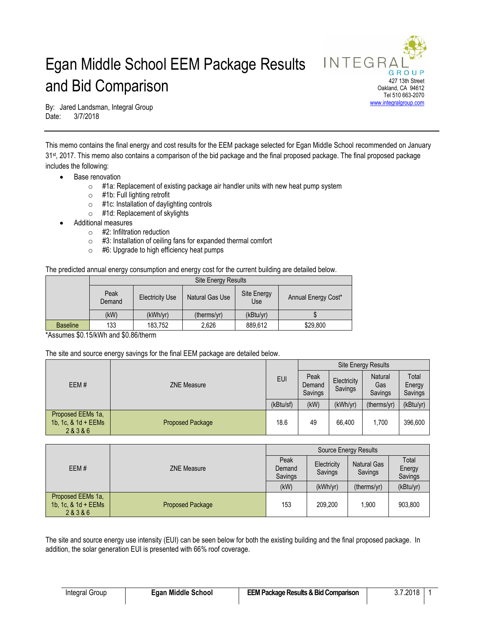# Egan Middle School EEM Package Results and Bid Comparison



By: Jared Landsman, Integral Group Date: 3/7/2018

This memo contains the final energy and cost results for the EEM package selected for Egan Middle School recommended on January 31st, 2017. This memo also contains a comparison of the bid package and the final proposed package. The final proposed package includes the following:

- Base renovation
	- o #1a: Replacement of existing package air handler units with new heat pump system
	- o #1b: Full lighting retrofit
	- o #1c: Installation of daylighting controls
	- o #1d: Replacement of skylights
- Additional measures
	- $\circ$  #2: Infiltration reduction
	- o #3: Installation of ceiling fans for expanded thermal comfort
	- $\circ$  #6: Upgrade to high efficiency heat pumps

The predicted annual energy consumption and energy cost for the current building are detailed below.

|                 |                | <b>Site Energy Results</b> |                 |                    |                     |  |  |
|-----------------|----------------|----------------------------|-----------------|--------------------|---------------------|--|--|
|                 | Peak<br>Demand | <b>Electricity Use</b>     | Natural Gas Use | Site Energy<br>Use | Annual Energy Cost* |  |  |
|                 | (kW)           | (kWh/yr)                   | (therms/yr)     | (kBtu/yr)          |                     |  |  |
| <b>Baseline</b> | 133            | 183,752                    | 2,626           | 889,612            | \$29,800            |  |  |

\*Assumes \$0.15/kWh and \$0.86/therm

#### The site and source energy savings for the final EEM package are detailed below.

|      | <b>ZNE Measure</b>                                  |                         | <b>Site Energy Results</b> |                        |                                  |                            |           |
|------|-----------------------------------------------------|-------------------------|----------------------------|------------------------|----------------------------------|----------------------------|-----------|
| EEM# |                                                     | <b>EUI</b>              | Peak<br>Demand<br>Savings  | Electricity<br>Savings | <b>Natural</b><br>Gas<br>Savings | Total<br>Energy<br>Savings |           |
|      |                                                     |                         | (kBtu/sf)                  | (kW)                   | (kWh/yr)                         | (therms/yr)                | (kBtu/yr) |
|      | Proposed EEMs 1a,<br>1b, 1c, $8$ 1d + EEMs<br>28386 | <b>Proposed Package</b> | 18.6                       | 49                     | 66.400                           | 1.700                      | 396,600   |

|                                                     | <b>ZNE Measure</b>      | Source Energy Results     |                        |                               |                            |  |
|-----------------------------------------------------|-------------------------|---------------------------|------------------------|-------------------------------|----------------------------|--|
| EEM#                                                |                         | Peak<br>Demand<br>Savings | Electricity<br>Savings | <b>Natural Gas</b><br>Savings | Total<br>Energy<br>Savings |  |
|                                                     |                         | (kW)                      | (kWh/yr)               | (therms/yr)                   | (kBtu/yr)                  |  |
| Proposed EEMs 1a,<br>1b, 1c, $8$ 1d + EEMs<br>28386 | <b>Proposed Package</b> | 153                       | 209.200                | 1.900                         | 903.800                    |  |

The site and source energy use intensity (EUI) can be seen below for both the existing building and the final proposed package. In addition, the solar generation EUI is presented with 66% roof coverage.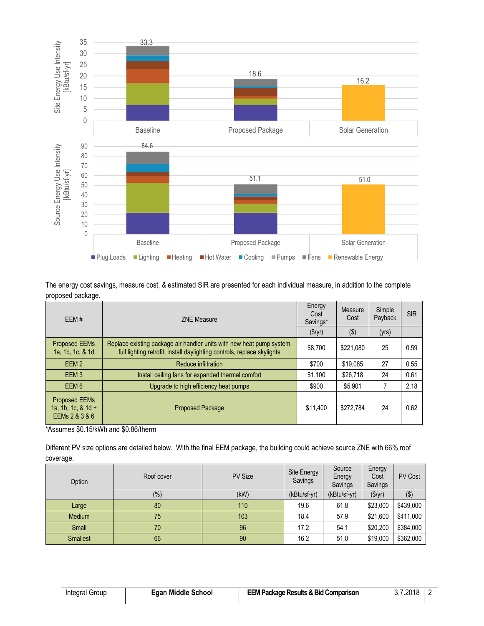

The energy cost savings, measure cost, & estimated SIR are presented for each individual measure, in addition to the complete proposed package.

| EEM#                                                           | <b>ZNE Measure</b>                                                                                                                               | Energy<br>Cost<br>Savings* | Measure<br>Cost | Simple<br>Payback | <b>SIR</b> |
|----------------------------------------------------------------|--------------------------------------------------------------------------------------------------------------------------------------------------|----------------------------|-----------------|-------------------|------------|
|                                                                |                                                                                                                                                  |                            |                 |                   |            |
| <b>Proposed EEMs</b><br>1a, 1b, 1c, & 1d                       | Replace existing package air handler units with new heat pump system,<br>full lighting retrofit, install daylighting controls, replace skylights | \$8.700                    | \$221.080       | 25                | 0.59       |
| EEM <sub>2</sub>                                               | Reduce infiltration                                                                                                                              | \$700                      | \$19,085        | 27                | 0.55       |
| EEM <sub>3</sub>                                               | Install ceiling fans for expanded thermal comfort                                                                                                | \$1,100                    | \$26,718        | 24                | 0.61       |
| EEM <sub>6</sub>                                               | Upgrade to high efficiency heat pumps                                                                                                            | \$900                      | \$5,901         | 7                 | 2.18       |
| <b>Proposed EEMs</b><br>1a, 1b, 1c, $& 1d +$<br>EEMs 2 & 3 & 6 | <b>Proposed Package</b>                                                                                                                          | \$11.400                   | \$272.784       | 24                | 0.62       |

\*Assumes \$0.15/kWh and \$0.86/therm

Different PV size options are detailed below. With the final EEM package, the building could achieve source ZNE with 66% roof coverage.

| Option          | Roof cover | <b>PV Size</b> | Site Energy<br>Savings | Source<br>Energy<br>Savings | Energy<br>Cost<br>Savings | <b>PV Cost</b> |
|-----------------|------------|----------------|------------------------|-----------------------------|---------------------------|----------------|
|                 | $(\%)$     | (kW)           | (kBtu/sf-yr)           | (kBtu/sf-yr)                | (\$/yr)                   | $($ \$)        |
| Large           | 80         | 110            | 19.6                   | 61.8                        | \$23,000                  | \$439,000      |
| Medium          | 75         | 103            | 18.4                   | 57.9                        | \$21,600                  | \$411,000      |
| Small           | 70         | 96             | 17.2                   | 54.1                        | \$20,200                  | \$384,000      |
| <b>Smallest</b> | 66         | 90             | 16.2                   | 51.0                        | \$19,000                  | \$362,000      |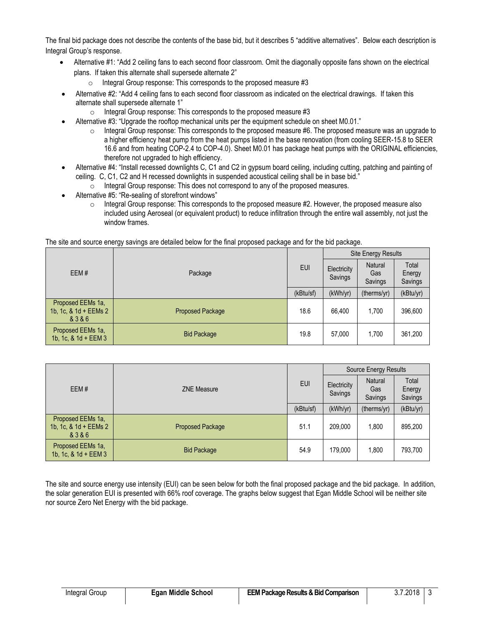The final bid package does not describe the contents of the base bid, but it describes 5 "additive alternatives". Below each description is Integral Group's response.

- Alternative #1: "Add 2 ceiling fans to each second floor classroom. Omit the diagonally opposite fans shown on the electrical plans. If taken this alternate shall supersede alternate 2"
	- $\circ$  Integral Group response: This corresponds to the proposed measure #3
- Alternative #2: "Add 4 ceiling fans to each second floor classroom as indicated on the electrical drawings. If taken this alternate shall supersede alternate 1"
	- o Integral Group response: This corresponds to the proposed measure #3
- Alternative #3: "Upgrade the rooftop mechanical units per the equipment schedule on sheet M0.01."
	- $\circ$  Integral Group response: This corresponds to the proposed measure #6. The proposed measure was an upgrade to a higher efficiency heat pump from the heat pumps listed in the base renovation (from cooling SEER-15.8 to SEER 16.6 and from heating COP-2.4 to COP-4.0). Sheet M0.01 has package heat pumps with the ORIGINAL efficiencies, therefore not upgraded to high efficiency.
- Alternative #4: "Install recessed downlights C, C1 and C2 in gypsum board ceiling, including cutting, patching and painting of ceiling. C, C1, C2 and H recessed downlights in suspended acoustical ceiling shall be in base bid."
	- o Integral Group response: This does not correspond to any of the proposed measures.
- Alternative #5: "Re-sealing of storefront windows"
	- Integral Group response: This corresponds to the proposed measure #2. However, the proposed measure also included using Aeroseal (or equivalent product) to reduce infiltration through the entire wall assembly, not just the window frames.

The site and source energy savings are detailed below for the final proposed package and for the bid package.

|                                                       |                         |            | <b>Site Energy Results</b> |                           |                            |  |
|-------------------------------------------------------|-------------------------|------------|----------------------------|---------------------------|----------------------------|--|
| EEM#                                                  | Package                 | <b>EUI</b> | Electricity<br>Savings     | Natural<br>Gas<br>Savings | Total<br>Energy<br>Savings |  |
|                                                       |                         | (kBtu/sf)  | (kWh/yr)                   | (therms/yr)               | (kBtu/yr)                  |  |
| Proposed EEMs 1a,<br>1b, 1c, & 1d + EEMs 2<br>& 3 & 6 | <b>Proposed Package</b> | 18.6       | 66.400                     | 1,700                     | 396,600                    |  |
| Proposed EEMs 1a,<br>1b, 1c, & 1d + EEM 3             | <b>Bid Package</b>      | 19.8       | 57,000                     | 1.700                     | 361,200                    |  |

|                                                    |                         |            | Source Energy Results  |                           |                            |  |
|----------------------------------------------------|-------------------------|------------|------------------------|---------------------------|----------------------------|--|
| EEM#                                               | <b>ZNE Measure</b>      | <b>EUI</b> | Electricity<br>Savings | Natural<br>Gas<br>Savings | Total<br>Energy<br>Savings |  |
|                                                    |                         | (kBtu/sf)  | (kWh/yr)               | (therms/yr)               | (kBtu/yr)                  |  |
| Proposed EEMs 1a,<br>1b, 1c, & 1d + EEMs 2<br>8386 | <b>Proposed Package</b> | 51.1       | 209.000                | 1.800                     | 895,200                    |  |
| Proposed EEMs 1a.<br>1b, 1c, $8$ 1d + EEM 3        | <b>Bid Package</b>      | 54.9       | 179.000                | 1.800                     | 793,700                    |  |

The site and source energy use intensity (EUI) can be seen below for both the final proposed package and the bid package. In addition, the solar generation EUI is presented with 66% roof coverage. The graphs below suggest that Egan Middle School will be neither site nor source Zero Net Energy with the bid package.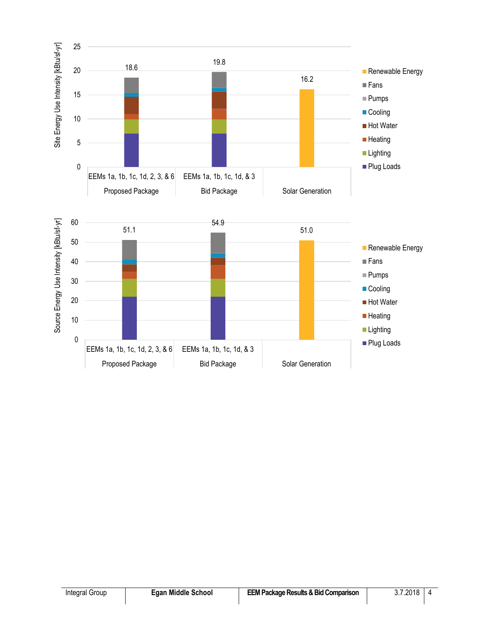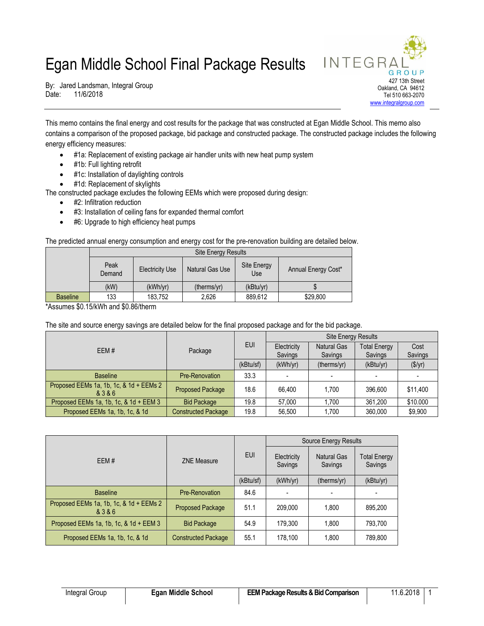# Egan Middle School Final Package Results



By: Jared Landsman, Integral Group Date: 11/6/2018

This memo contains the final energy and cost results for the package that was constructed at Egan Middle School. This memo also contains a comparison of the proposed package, bid package and constructed package. The constructed package includes the following energy efficiency measures:

- #1a: Replacement of existing package air handler units with new heat pump system
- #1b: Full lighting retrofit
- #1c: Installation of daylighting controls

#1d: Replacement of skylights

The constructed package excludes the following EEMs which were proposed during design:

- #2: Infiltration reduction
- #3: Installation of ceiling fans for expanded thermal comfort
- #6: Upgrade to high efficiency heat pumps

The predicted annual energy consumption and energy cost for the pre-renovation building are detailed below.

|                 |                | <b>Site Energy Results</b> |                 |                    |                     |  |  |
|-----------------|----------------|----------------------------|-----------------|--------------------|---------------------|--|--|
|                 | Peak<br>Demand | <b>Electricity Use</b>     | Natural Gas Use | Site Energy<br>Use | Annual Energy Cost* |  |  |
|                 | (kW)           | (kWh/yr)                   | (therms/yr)     | (kBtu/yr)          |                     |  |  |
| <b>Baseline</b> | 133            | 183,752                    | 2,626           | 889.612            | \$29,800            |  |  |

\*Assumes \$0.15/kWh and \$0.86/therm

The site and source energy savings are detailed below for the final proposed package and for the bid package.

| EEM#                                               | Package                    | <b>EUI</b> | <b>Site Energy Results</b> |                               |                                |                 |
|----------------------------------------------------|----------------------------|------------|----------------------------|-------------------------------|--------------------------------|-----------------|
|                                                    |                            |            | Electricity<br>Savings     | <b>Natural Gas</b><br>Savings | <b>Total Energy</b><br>Savings | Cost<br>Savings |
|                                                    |                            | (kBtu/sf)  | (kWh/yr)                   | (therms/yr)                   | (kBtu/yr)                      | (\$/yr)         |
| <b>Baseline</b>                                    | Pre-Renovation             | 33.3       |                            |                               |                                |                 |
| Proposed EEMs 1a, 1b, 1c, & 1d + EEMs 2<br>& 3 & 6 | <b>Proposed Package</b>    | 18.6       | 66.400                     | 1.700                         | 396.600                        | \$11,400        |
| Proposed EEMs 1a, 1b, 1c, & 1d + EEM 3             | <b>Bid Package</b>         | 19.8       | 57,000                     | 1.700                         | 361,200                        | \$10.000        |
| Proposed EEMs 1a, 1b, 1c, & 1d                     | <b>Constructed Package</b> | 19.8       | 56.500                     | 1.700                         | 360,000                        | \$9,900         |

| EEM#                                               |                            | <b>EUI</b> | Source Energy Results  |                               |                                |  |
|----------------------------------------------------|----------------------------|------------|------------------------|-------------------------------|--------------------------------|--|
|                                                    | <b>ZNE Measure</b>         |            | Electricity<br>Savings | <b>Natural Gas</b><br>Savings | <b>Total Energy</b><br>Savings |  |
|                                                    |                            | (kBtu/sf)  | (kWh/yr)               | (therms/yr)                   | (kBtu/yr)                      |  |
| <b>Baseline</b>                                    | Pre-Renovation             | 84.6       |                        |                               |                                |  |
| Proposed EEMs 1a, 1b, 1c, & 1d + EEMs 2<br>& 3 & 6 | <b>Proposed Package</b>    | 51.1       | 209.000                | 1.800                         | 895.200                        |  |
| Proposed EEMs 1a, 1b, 1c, $& 1d + EEM 3$           | <b>Bid Package</b>         | 54.9       | 179.300                | 1.800                         | 793,700                        |  |
| Proposed EEMs 1a, 1b, 1c, & 1d                     | <b>Constructed Package</b> | 55.1       | 178.100                | 1.800                         | 789.800                        |  |